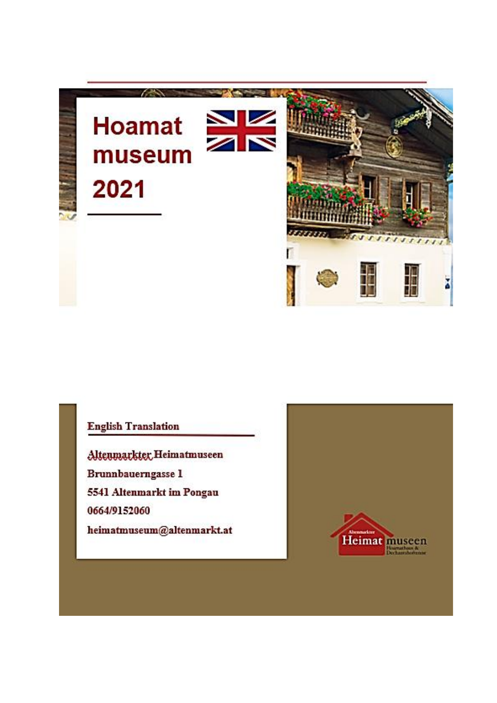

## **English Translation**

Altenmarkter, Heimatmuseen Brunnbauerngasse 1 5541 Altenmarkt im Pongau 0664/9152060 heimatmuseum@altenmarkt.at

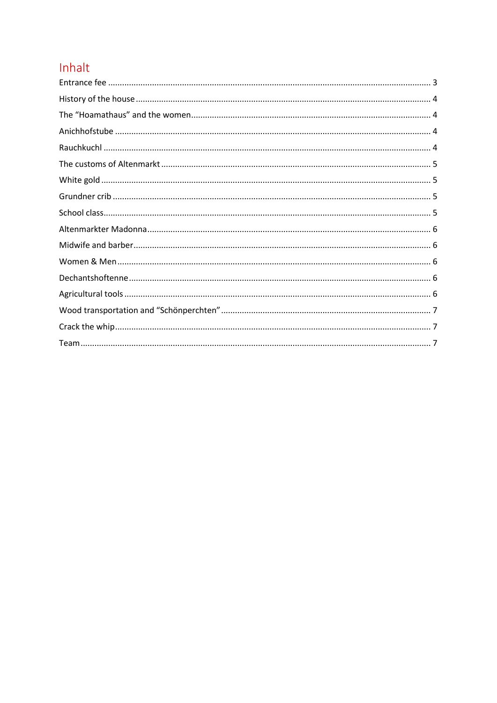# Inhalt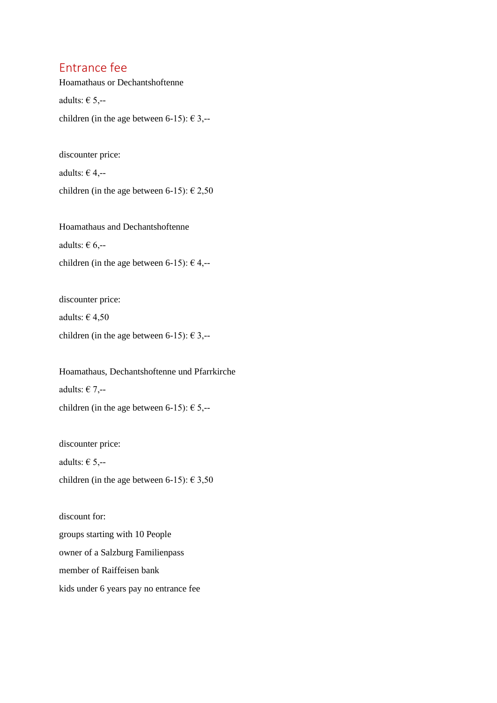#### <span id="page-2-0"></span>Entrance fee

Hoamathaus or Dechantshoftenne

adults:  $\in$  5,--

children (in the age between 6-15):  $\epsilon$  3,--

discounter price:

adults:  $\in$  4,--

children (in the age between 6-15):  $\epsilon$  2,50

Hoamathaus and Dechantshoftenne adults:  $\in$  6,-children (in the age between 6-15):  $\epsilon$  4,--

discounter price:

adults:  $\in$  4,50

children (in the age between 6-15):  $\epsilon$  3,--

Hoamathaus, Dechantshoftenne und Pfarrkirche adults:  $\epsilon$  7,-children (in the age between 6-15):  $\epsilon$  5,--

discounter price: adults:  $\in$  5,-children (in the age between 6-15):  $\epsilon$  3,50

discount for: groups starting with 10 People owner of a Salzburg Familienpass member of Raiffeisen bank kids under 6 years pay no entrance fee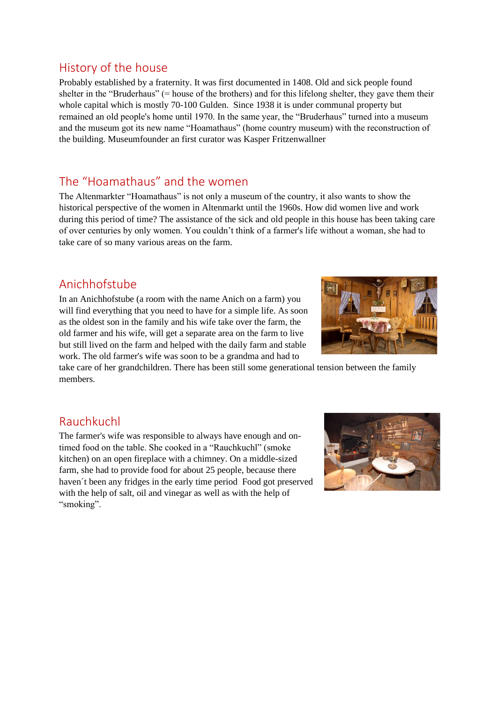### <span id="page-3-0"></span>History of the house

Probably established by a fraternity. It was first documented in 1408. Old and sick people found shelter in the "Bruderhaus" (= house of the brothers) and for this lifelong shelter, they gave them their whole capital which is mostly 70-100 Gulden. Since 1938 it is under communal property but remained an old people's home until 1970. In the same year, the "Bruderhaus" turned into a museum and the museum got its new name "Hoamathaus" (home country museum) with the reconstruction of the building. Museumfounder an first curator was Kasper Fritzenwallner

## <span id="page-3-1"></span>The "Hoamathaus" and the women

The Altenmarkter "Hoamathaus" is not only a museum of the country, it also wants to show the historical perspective of the women in Altenmarkt until the 1960s. How did women live and work during this period of time? The assistance of the sick and old people in this house has been taking care of over centuries by only women. You couldn't think of a farmer's life without a woman, she had to take care of so many various areas on the farm.

## <span id="page-3-2"></span>Anichhofstube



take care of her grandchildren. There has been still some generational tension between the family members.

#### <span id="page-3-3"></span>Rauchkuchl

The farmer's wife was responsible to always have enough and ontimed food on the table. She cooked in a "Rauchkuchl" (smoke kitchen) on an open fireplace with a chimney. On a middle-sized farm, she had to provide food for about 25 people, because there haven´t been any fridges in the early time period Food got preserved with the help of salt, oil and vinegar as well as with the help of "smoking".



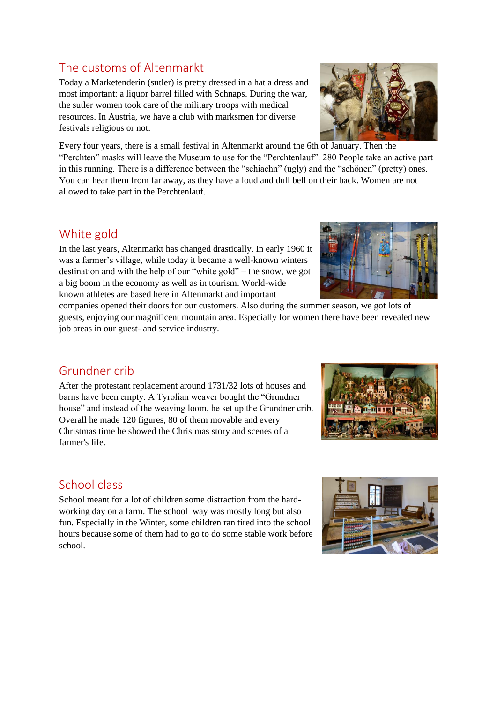## <span id="page-4-0"></span>The customs of Altenmarkt

Today a Marketenderin (sutler) is pretty dressed in a hat a dress and most important: a liquor barrel filled with Schnaps. During the war, the sutler women took care of the military troops with medical resources. In Austria, we have a club with marksmen for diverse festivals religious or not.

Every four years, there is a small festival in Altenmarkt around the 6th of January. Then the "Perchten" masks will leave the Museum to use for the "Perchtenlauf". 280 People take an active part in this running. There is a difference between the "schiachn" (ugly) and the "schönen" (pretty) ones. You can hear them from far away, as they have a loud and dull bell on their back. Women are not allowed to take part in the Perchtenlauf.

#### <span id="page-4-1"></span>White gold

In the last years, Altenmarkt has changed drastically. In early 1960 it was a farmer's village, while today it became a well-known winters destination and with the help of our "white gold" – the snow, we got a big boom in the economy as well as in tourism. World-wide known athletes are based here in Altenmarkt and important

companies opened their doors for our customers. Also during the summer season, we got lots of guests, enjoying our magnificent mountain area. Especially for women there have been revealed new job areas in our guest- and service industry.

#### <span id="page-4-2"></span>Grundner crib

After the protestant replacement around 1731/32 lots of houses and barns have been empty. A Tyrolian weaver bought the "Grundner house" and instead of the weaving loom, he set up the Grundner crib. Overall he made 120 figures, 80 of them movable and every Christmas time he showed the Christmas story and scenes of a farmer's life.

#### <span id="page-4-3"></span>School class

School meant for a lot of children some distraction from the hardworking day on a farm. The school way was mostly long but also fun. Especially in the Winter, some children ran tired into the school hours because some of them had to go to do some stable work before school.







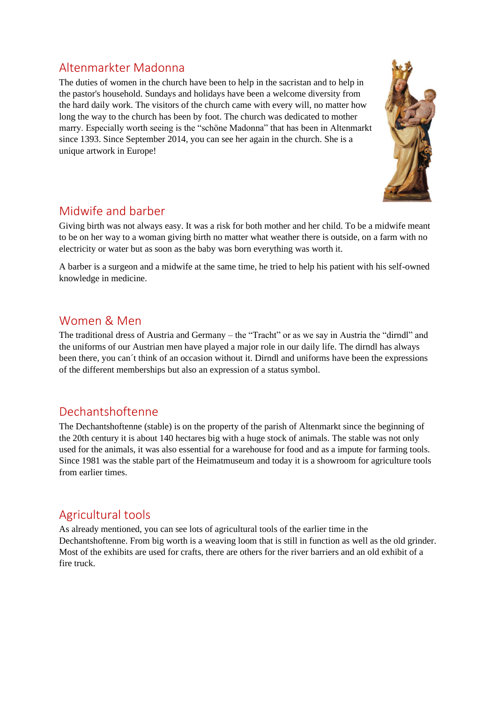### <span id="page-5-0"></span>Altenmarkter Madonna

The duties of women in the church have been to help in the sacristan and to help in the pastor's household. Sundays and holidays have been a welcome diversity from the hard daily work. The visitors of the church came with every will, no matter how long the way to the church has been by foot. The church was dedicated to mother marry. Especially worth seeing is the "schöne Madonna" that has been in Altenmarkt since 1393. Since September 2014, you can see her again in the church. She is a unique artwork in Europe!



## <span id="page-5-1"></span>Midwife and barber

Giving birth was not always easy. It was a risk for both mother and her child. To be a midwife meant to be on her way to a woman giving birth no matter what weather there is outside, on a farm with no electricity or water but as soon as the baby was born everything was worth it.

A barber is a surgeon and a midwife at the same time, he tried to help his patient with his self-owned knowledge in medicine.

#### <span id="page-5-2"></span>Women & Men

The traditional dress of Austria and Germany – the "Tracht" or as we say in Austria the "dirndl" and the uniforms of our Austrian men have played a major role in our daily life. The dirndl has always been there, you can´t think of an occasion without it. Dirndl and uniforms have been the expressions of the different memberships but also an expression of a status symbol.

#### <span id="page-5-3"></span>Dechantshoftenne

The Dechantshoftenne (stable) is on the property of the parish of Altenmarkt since the beginning of the 20th century it is about 140 hectares big with a huge stock of animals. The stable was not only used for the animals, it was also essential for a warehouse for food and as a impute for farming tools. Since 1981 was the stable part of the Heimatmuseum and today it is a showroom for agriculture tools from earlier times.

## <span id="page-5-4"></span>Agricultural tools

As already mentioned, you can see lots of agricultural tools of the earlier time in the Dechantshoftenne. From big worth is a weaving loom that is still in function as well as the old grinder. Most of the exhibits are used for crafts, there are others for the river barriers and an old exhibit of a fire truck.